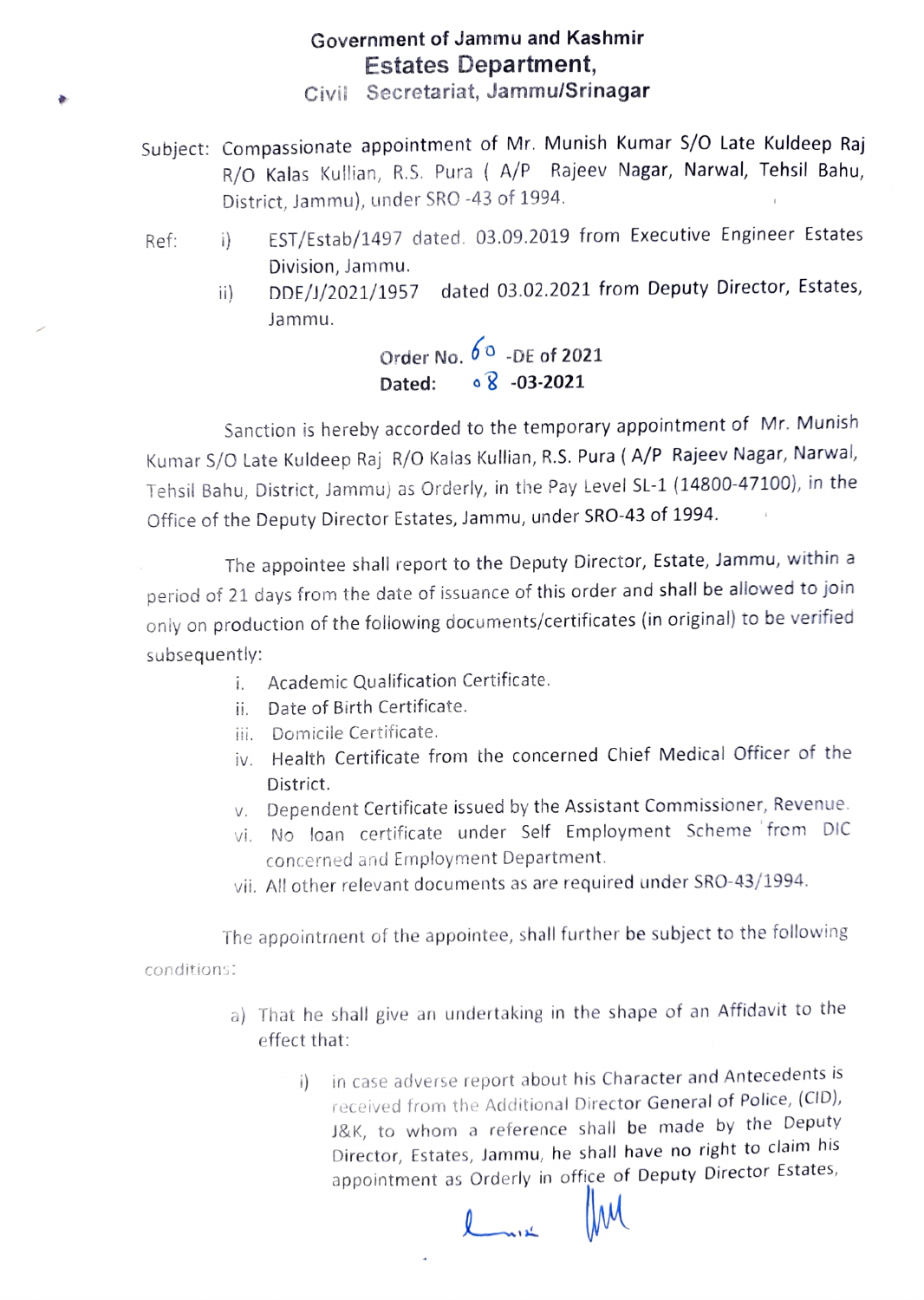### Government of Jammu and Kashmir Estates Department,

Civii Secretariat, Jammu/Srinagar

- Subject: Compassionate appointment of Mr. Munish Kumar S/0 Late Kuldeep Raj R/O Kalas Kullian, R.S. Pura (A/P Rajeev Nagar, Narwal, Tehsil Bahu, District, Jammu), under SRO -43 of 1994
- Ref: i) EST/Estab/1497 dated. 03.09.2019 from Executive Engineer Estates Division, Jammu.
	- i) DDE/J/2021/1957 dated 03.02.2021 from Deputy Director, Estates, Jammu.

# Order No.  $6^\circ$  -DE of 2021 Dated: 08 -03-2021

Sanction is hereby accorded to the temporary appointment of Mr. Munish Kumar S/O Late Kuldeep Raj R/0 Kalas Kullian, R.S. Pura (A/P Rajeev Nagar, Narwal, Tehsil Bahu, District, Jammu) as Orderly, in the Pay Level SL-1 (14800-47100), in the Office of the Deputy Director Estates, Jammu, under SRO-43 of 1994

The appointee shall report to the Deputy Director, Estate, Jammu, within a period of 21 days from the date of issuance of this order and shall be allowed to join oniy on production of the foliowing documents/certificates (in original) to be verified subsequently:

- Academic Qualification Certificate.
- i. Date of Birth Certificate.
- ii. Domicile Certificate.
- iv. Health Certificate from the concerned Chief Medical Officer of the District.
- v. Dependent Certificate issued by the Assistant Commissioner, Revenue.
- vi. No loan certificate under Self Employment Scheme from DIC concerned and Employment Department.
- vi. All other relevant documents as are required under SRO-43/1994.

The appointrnent of the appointee, shall further be subject to the following conditions:

> a) That he shall give an undertaking in the shape of an Affidavit to the effect that:

> > i) in case adverse report about his Character and Antecedents is received from the Additional Director General of Police, (CID), J&K, to whom a reference shall be made by the Deputy Director, Estates, Jammu, he shall have no right to claim his appointment as Orderly in office of Deputy Director Estates,

> > > IM

 $L_{mix}$